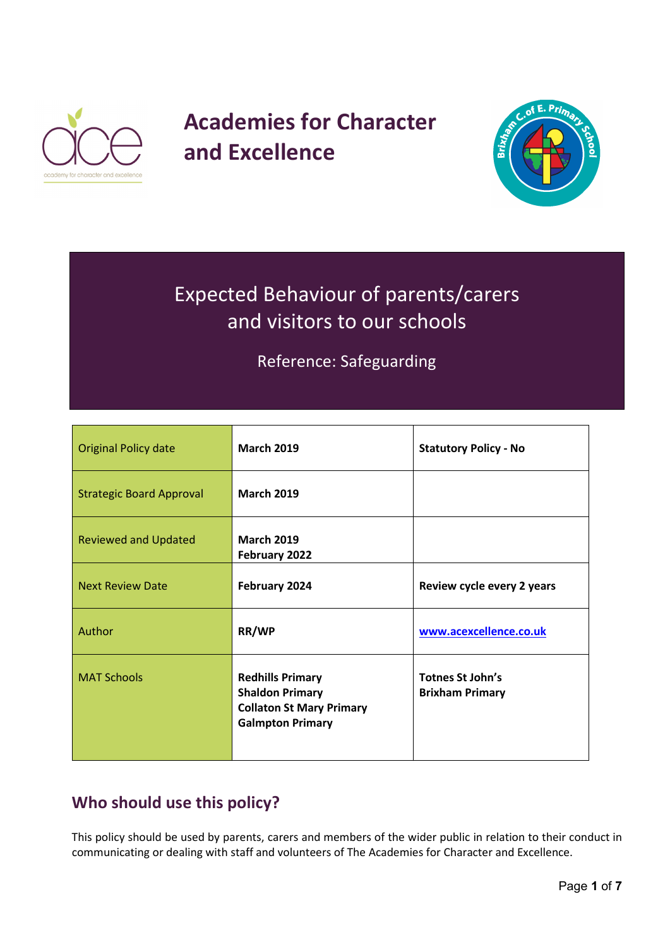

# **Academies for Character and Excellence**



# Expected Behaviour of parents/carers and visitors to our schools

Reference: Safeguarding

| <b>Original Policy date</b>     | <b>March 2019</b>                                                                                               | <b>Statutory Policy - No</b>               |
|---------------------------------|-----------------------------------------------------------------------------------------------------------------|--------------------------------------------|
| <b>Strategic Board Approval</b> | <b>March 2019</b>                                                                                               |                                            |
| <b>Reviewed and Updated</b>     | <b>March 2019</b><br>February 2022                                                                              |                                            |
| <b>Next Review Date</b>         | February 2024                                                                                                   | Review cycle every 2 years                 |
| Author                          | RR/WP                                                                                                           | www.acexcellence.co.uk                     |
| <b>MAT Schools</b>              | <b>Redhills Primary</b><br><b>Shaldon Primary</b><br><b>Collaton St Mary Primary</b><br><b>Galmpton Primary</b> | Totnes St John's<br><b>Brixham Primary</b> |

# **Who should use this policy?**

This policy should be used by parents, carers and members of the wider public in relation to their conduct in communicating or dealing with staff and volunteers of The Academies for Character and Excellence.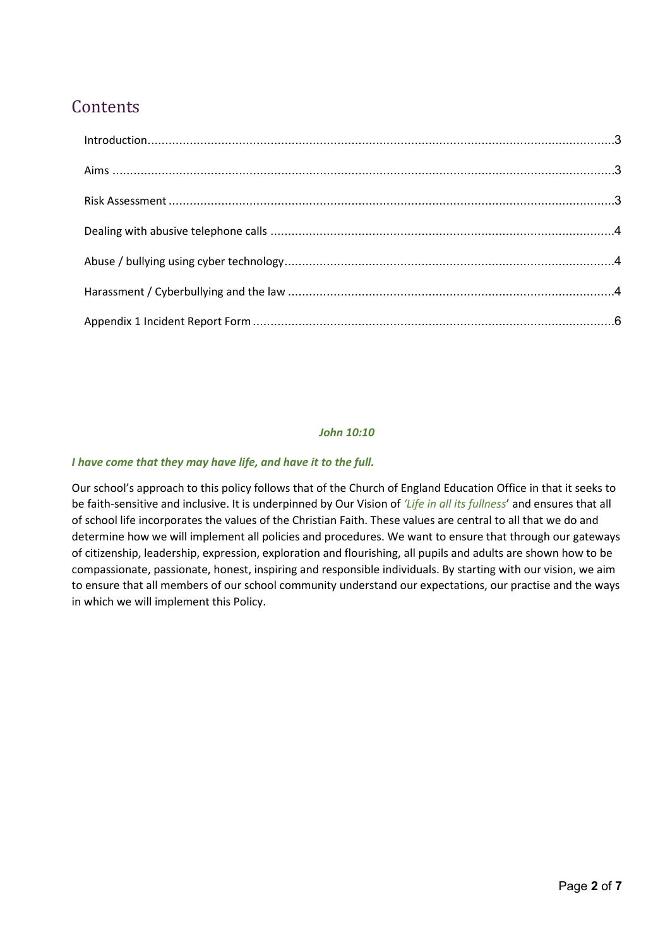# **Contents**

#### *John 10:10*

#### *I have come that they may have life, and have it to the full.*

Our school's approach to this policy follows that of the Church of England Education Office in that it seeks to be faith-sensitive and inclusive. It is underpinned by Our Vision of *'Life in all its fullness*' and ensures that all of school life incorporates the values of the Christian Faith. These values are central to all that we do and determine how we will implement all policies and procedures. We want to ensure that through our gateways of citizenship, leadership, expression, exploration and flourishing, all pupils and adults are shown how to be compassionate, passionate, honest, inspiring and responsible individuals. By starting with our vision, we aim to ensure that all members of our school community understand our expectations, our practise and the ways in which we will implement this Policy.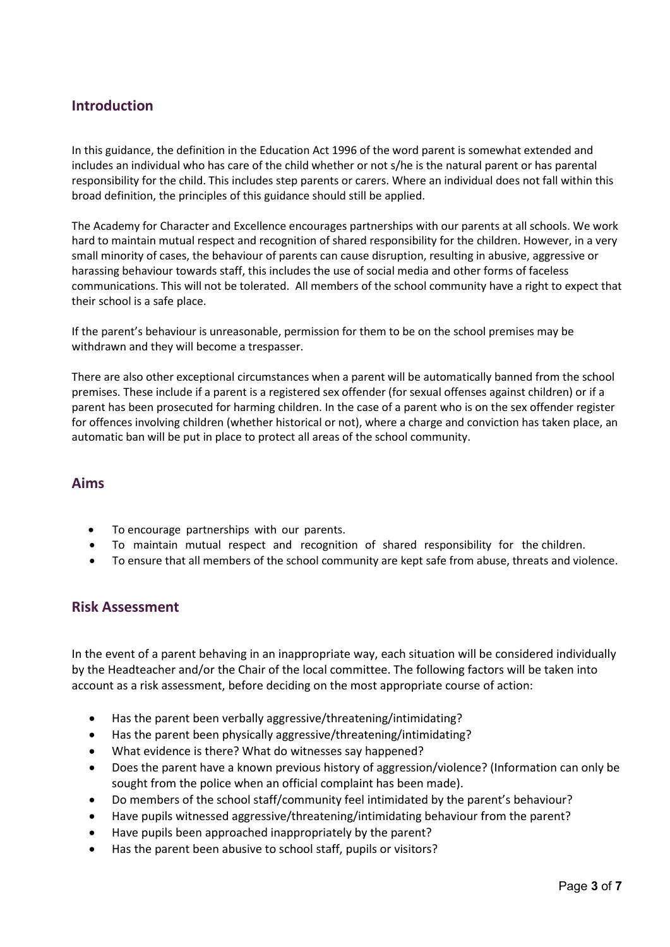## <span id="page-2-0"></span>**Introduction**

In this guidance, the definition in the Education Act 1996 of the word parent is somewhat extended and includes an individual who has care of the child whether or not s/he is the natural parent or has parental responsibility for the child. This includes step parents or carers. Where an individual does not fall within this broad definition, the principles of this guidance should still be applied.

The Academy for Character and Excellence encourages partnerships with our parents at all schools. We work hard to maintain mutual respect and recognition of shared responsibility for the children. However, in a very small minority of cases, the behaviour of parents can cause disruption, resulting in abusive, aggressive or harassing behaviour towards staff, this includes the use of social media and other forms of faceless communications. This will not be tolerated. All members of the school community have a right to expect that their school is a safe place.

If the parent's behaviour is unreasonable, permission for them to be on the school premises may be withdrawn and they will become a trespasser.

There are also other exceptional circumstances when a parent will be automatically banned from the school premises. These include if a parent is a registered sex offender (for sexual offenses against children) or if a parent has been prosecuted for harming children. In the case of a parent who is on the sex offender register for offences involving children (whether historical or not), where a charge and conviction has taken place, an automatic ban will be put in place to protect all areas of the school community.

### <span id="page-2-1"></span>**Aims**

- To encourage partnerships with our parents.
- To maintain mutual respect and recognition of shared responsibility for the children.
- To ensure that all members of the school community are kept safe from abuse, threats and violence.

## <span id="page-2-2"></span>**Risk Assessment**

In the event of a parent behaving in an inappropriate way, each situation will be considered individually by the Headteacher and/or the Chair of the local committee. The following factors will be taken into account as a risk assessment, before deciding on the most appropriate course of action:

- Has the parent been verbally aggressive/threatening/intimidating?
- Has the parent been physically aggressive/threatening/intimidating?
- What evidence is there? What do witnesses say happened?
- Does the parent have a known previous history of aggression/violence? (Information can only be sought from the police when an official complaint has been made).
- Do members of the school staff/community feel intimidated by the parent's behaviour?
- Have pupils witnessed aggressive/threatening/intimidating behaviour from the parent?
- Have pupils been approached inappropriately by the parent?
- Has the parent been abusive to school staff, pupils or visitors?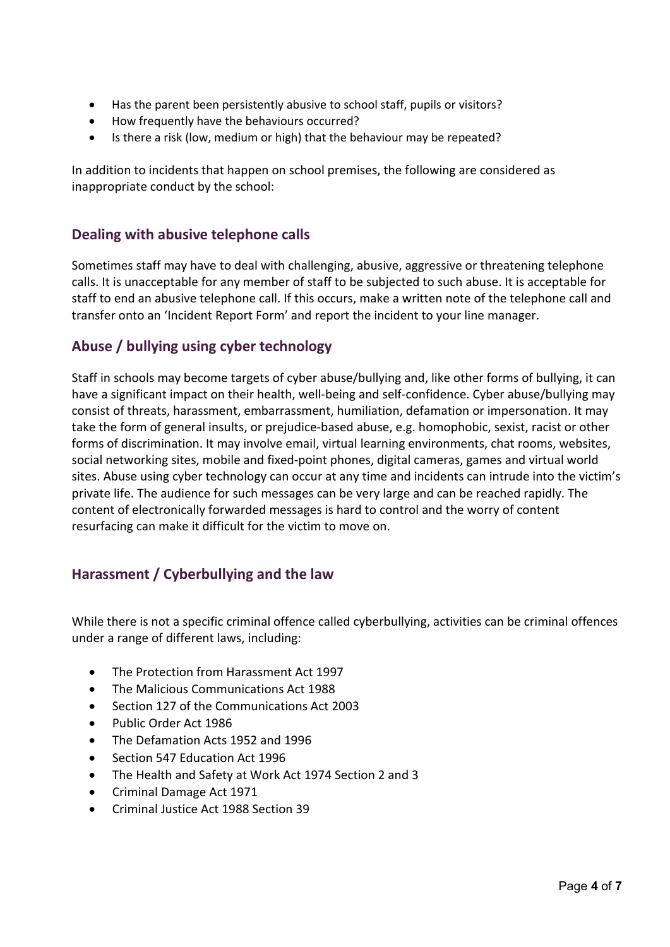- Has the parent been persistently abusive to school staff, pupils or visitors?
- How frequently have the behaviours occurred?
- Is there a risk (low, medium or high) that the behaviour may be repeated?

In addition to incidents that happen on school premises, the following are considered as inappropriate conduct by the school:

# <span id="page-3-0"></span>**Dealing with abusive telephone calls**

Sometimes staff may have to deal with challenging, abusive, aggressive or threatening telephone calls. It is unacceptable for any member of staff to be subjected to such abuse. It is acceptable for staff to end an abusive telephone call. If this occurs, make a written note of the telephone call and transfer onto an 'Incident Report Form' and report the incident to your line manager.

# <span id="page-3-1"></span>**Abuse / bullying using cyber technology**

Staff in schools may become targets of cyber abuse/bullying and, like other forms of bullying, it can have a significant impact on their health, well-being and self-confidence. Cyber abuse/bullying may consist of threats, harassment, embarrassment, humiliation, defamation or impersonation. It may take the form of general insults, or prejudice-based abuse, e.g. homophobic, sexist, racist or other forms of discrimination. It may involve email, virtual learning environments, chat rooms, websites, social networking sites, mobile and fixed-point phones, digital cameras, games and virtual world sites. Abuse using cyber technology can occur at any time and incidents can intrude into the victim's private life. The audience for such messages can be very large and can be reached rapidly. The content of electronically forwarded messages is hard to control and the worry of content resurfacing can make it difficult for the victim to move on.

# <span id="page-3-2"></span>**Harassment / Cyberbullying and the law**

While there is not a specific criminal offence called cyberbullying, activities can be criminal offences under a range of different laws, including:

- The Protection from Harassment Act 1997
- The Malicious Communications Act 1988
- Section 127 of the Communications Act 2003
- Public Order Act 1986
- The Defamation Acts 1952 and 1996
- Section 547 Education Act 1996
- The Health and Safety at Work Act 1974 Section 2 and 3
- Criminal Damage Act 1971
- Criminal Justice Act 1988 Section 39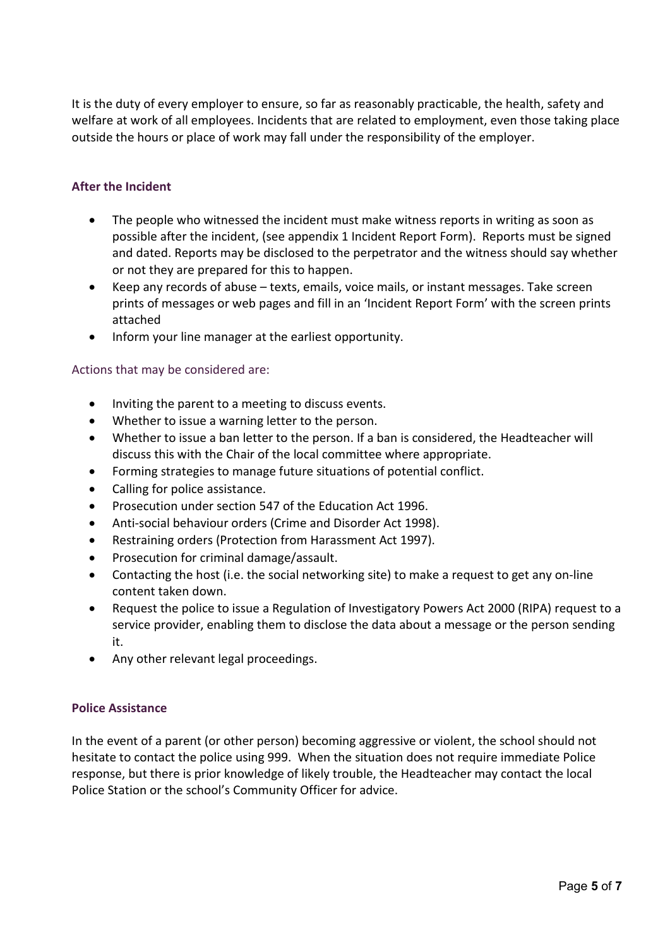It is the duty of every employer to ensure, so far as reasonably practicable, the health, safety and welfare at work of all employees. Incidents that are related to employment, even those taking place outside the hours or place of work may fall under the responsibility of the employer.

### **After the Incident**

- The people who witnessed the incident must make witness reports in writing as soon as possible after the incident, (see appendix 1 Incident Report Form). Reports must be signed and dated. Reports may be disclosed to the perpetrator and the witness should say whether or not they are prepared for this to happen.
- Keep any records of abuse texts, emails, voice mails, or instant messages. Take screen prints of messages or web pages and fill in an 'Incident Report Form' with the screen prints attached
- Inform your line manager at the earliest opportunity.

#### Actions that may be considered are:

- Inviting the parent to a meeting to discuss events.
- Whether to issue a warning letter to the person.
- Whether to issue a ban letter to the person. If a ban is considered, the Headteacher will discuss this with the Chair of the local committee where appropriate.
- Forming strategies to manage future situations of potential conflict.
- Calling for police assistance.
- Prosecution under section 547 of the Education Act 1996.
- Anti-social behaviour orders (Crime and Disorder Act 1998).
- Restraining orders (Protection from Harassment Act 1997).
- Prosecution for criminal damage/assault.
- Contacting the host (i.e. the social networking site) to make a request to get any on-line content taken down.
- Request the police to issue a Regulation of Investigatory Powers Act 2000 (RIPA) request to a service provider, enabling them to disclose the data about a message or the person sending it.
- Any other relevant legal proceedings.

#### **Police Assistance**

In the event of a parent (or other person) becoming aggressive or violent, the school should not hesitate to contact the police using 999. When the situation does not require immediate Police response, but there is prior knowledge of likely trouble, the Headteacher may contact the local Police Station or the school's Community Officer for advice.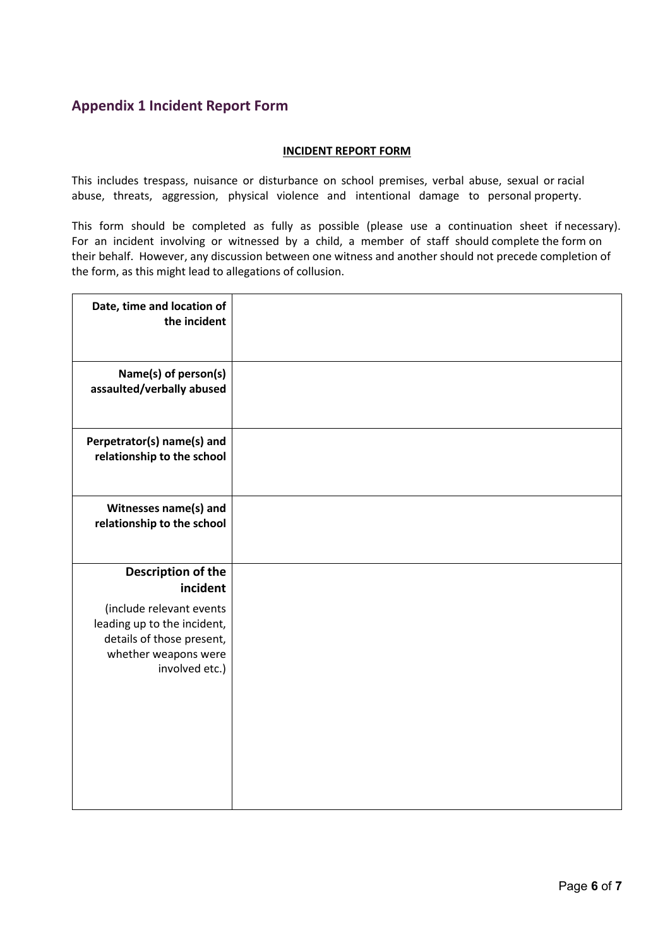# <span id="page-5-0"></span>**Appendix 1 Incident Report Form**

#### **INCIDENT REPORT FORM**

This includes trespass, nuisance or disturbance on school premises, verbal abuse, sexual or racial abuse, threats, aggression, physical violence and intentional damage to personal property.

This form should be completed as fully as possible (please use a continuation sheet if necessary). For an incident involving or witnessed by a child, a member of staff should complete the form on their behalf. However, any discussion between one witness and another should not precede completion of the form, as this might lead to allegations of collusion.

| Date, time and location of<br>the incident               |  |
|----------------------------------------------------------|--|
| Name(s) of person(s)<br>assaulted/verbally abused        |  |
| Perpetrator(s) name(s) and<br>relationship to the school |  |
| Witnesses name(s) and<br>relationship to the school      |  |
|                                                          |  |
| <b>Description of the</b>                                |  |
| incident                                                 |  |
| (include relevant events<br>leading up to the incident,  |  |
| details of those present,                                |  |
| whether weapons were                                     |  |
| involved etc.)                                           |  |
|                                                          |  |
|                                                          |  |
|                                                          |  |
|                                                          |  |